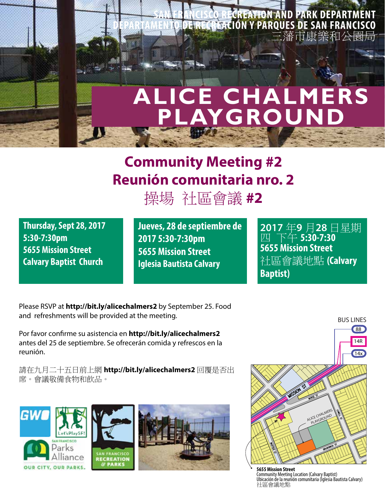

## **Community Meeting #2 Reunión comunitaria nro. 2**

操場 社區會議 **#2**

**Thursday, Sept 28, 2017 5:30-7:30pm 5655 Mission Street Calvary Baptist Church**

**Jueves, 28 de septiembre de 2017 5:30-7:30pm 5655 Mission Street Iglesia Bautista Calvary**

**2017** 年**9** 月**28** 日星期 四 下午 **5:30‐7:30 5655 Mission Street** 社區會議地點 **(Calvary Baptist)**

Please RSVP at **http://bit.ly/alicechalmers2** by September 25. Food and refreshments will be provided at the meeting.

Por favor confirme su asistencia en **http://bit.ly/alicechalmers2**  antes del 25 de septiembre. Se ofrecerán comida y refrescos en la reunión.

請在九月二十五日前上網 **http://bit.ly/alicechalmers2** 回覆是否出 席。會議敬備食物和飲品。





**5655 Mission Street**  Community Meeting Location (Calvary Baptist) Ubicación de la reunión comunitaria (Iglesia Bautista Calvary) 社區會議地點